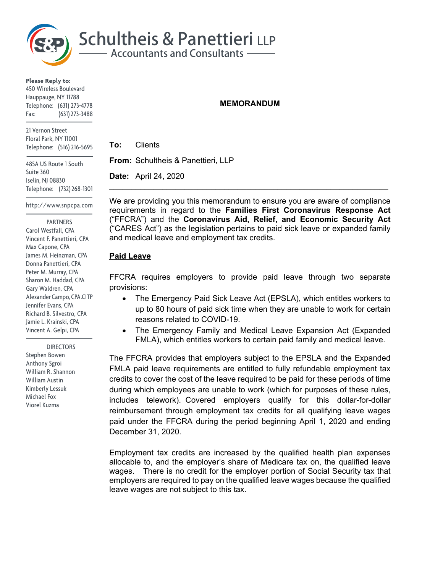

**Please Reply to:** 450 Wireless Boulevard Hauppauge, NY 11788 Telephone: (631) 273-4778 Fax: (631) 273-3488

21 Vernon Street Floral Park, NY 11001 Telephone: (516) 216-5695

485A US Route 1 South Suite 360 Iselin, NJ 08830 Telephone: (732) 268-1301

http://www.snpcpa.com

#### PARTNERS

Carol Westfall, CPA Vincent F. Panettieri, CPA Max Capone, CPA James M. Heinzman, CPA Donna Panettieri, CPA Peter M. Murray, CPA Sharon M. Haddad, CPA Gary Waldren, CPA Alexander Campo, CPA.CITP Jennifer Evans, CPA Richard B. Silvestro, CPA Jamie L. Krainski, CPA Vincent A. Gelpi, CPA

 DIRECTORS Stephen Bowen Anthony Sgroi William R. Shannon William Austin Kimberly Lessuk Michael Fox Viorel Kuzma

## **MEMORANDUM**

**To:** Clients

**From:** Schultheis & Panettieri, LLP

**Date:** April 24, 2020

We are providing you this memorandum to ensure you are aware of compliance requirements in regard to the **Families First Coronavirus Response Act**  ("FFCRA") and the **Coronavirus Aid, Relief, and Economic Security Act**  ("CARES Act") as the legislation pertains to paid sick leave or expanded family and medical leave and employment tax credits.

## **Paid Leave**

FFCRA requires employers to provide paid leave through two separate provisions:

- The Emergency Paid Sick Leave Act (EPSLA), which entitles workers to up to 80 hours of paid sick time when they are unable to work for certain reasons related to COVID-19.
- The Emergency Family and Medical Leave Expansion Act (Expanded FMLA), which entitles workers to certain paid family and medical leave.

The FFCRA provides that employers subject to the EPSLA and the Expanded FMLA paid leave requirements are entitled to fully refundable employment tax credits to cover the cost of the leave required to be paid for these periods of time during which employees are unable to work (which for purposes of these rules, includes telework). Covered employers qualify for this dollar-for-dollar reimbursement through employment tax credits for all qualifying leave wages paid under the FFCRA during the period beginning April 1, 2020 and ending December 31, 2020.

Employment tax credits are increased by the qualified health plan expenses allocable to, and the employer's share of Medicare tax on, the qualified leave wages. There is no credit for the employer portion of Social Security tax that employers are required to pay on the qualified leave wages because the qualified leave wages are not subject to this tax.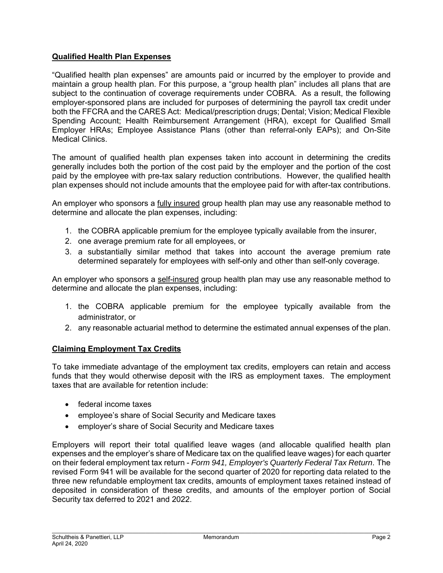## **Qualified Health Plan Expenses**

"Qualified health plan expenses" are amounts paid or incurred by the employer to provide and maintain a group health plan. For this purpose, a "group health plan" includes all plans that are subject to the continuation of coverage requirements under COBRA. As a result, the following employer-sponsored plans are included for purposes of determining the payroll tax credit under both the FFCRA and the CARES Act: Medical/prescription drugs; Dental; Vision; Medical Flexible Spending Account; Health Reimbursement Arrangement (HRA), except for Qualified Small Employer HRAs; Employee Assistance Plans (other than referral-only EAPs); and On-Site Medical Clinics.

The amount of qualified health plan expenses taken into account in determining the credits generally includes both the portion of the cost paid by the employer and the portion of the cost paid by the employee with pre-tax salary reduction contributions. However, the qualified health plan expenses should not include amounts that the employee paid for with after-tax contributions.

An employer who sponsors a fully insured group health plan may use any reasonable method to determine and allocate the plan expenses, including:

- 1. the COBRA applicable premium for the employee typically available from the insurer,
- 2. one average premium rate for all employees, or
- 3. a substantially similar method that takes into account the average premium rate determined separately for employees with self-only and other than self-only coverage.

An employer who sponsors a self-insured group health plan may use any reasonable method to determine and allocate the plan expenses, including:

- 1. the COBRA applicable premium for the employee typically available from the administrator, or
- 2. any reasonable actuarial method to determine the estimated annual expenses of the plan.

#### **Claiming Employment Tax Credits**

To take immediate advantage of the employment tax credits, employers can retain and access funds that they would otherwise deposit with the IRS as employment taxes. The employment taxes that are available for retention include:

- federal income taxes
- employee's share of Social Security and Medicare taxes
- employer's share of Social Security and Medicare taxes

Employers will report their total qualified leave wages (and allocable qualified health plan expenses and the employer's share of Medicare tax on the qualified leave wages) for each quarter on their federal employment tax return - *Form 941, Employer's Quarterly Federal Tax Return*. The revised Form 941 will be available for the second quarter of 2020 for reporting data related to the three new refundable employment tax credits, amounts of employment taxes retained instead of deposited in consideration of these credits, and amounts of the employer portion of Social Security tax deferred to 2021 and 2022.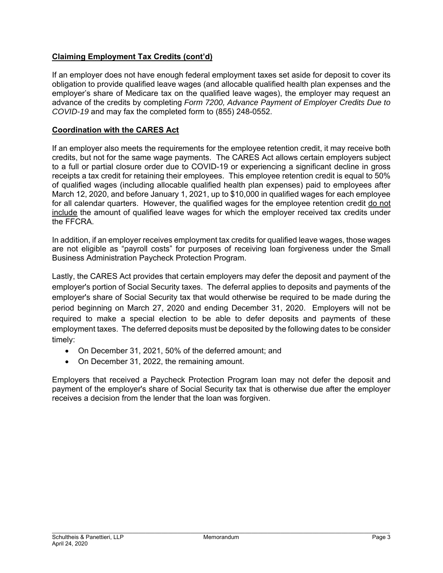# **Claiming Employment Tax Credits (cont'd)**

If an employer does not have enough federal employment taxes set aside for deposit to cover its obligation to provide qualified leave wages (and allocable qualified health plan expenses and the employer's share of Medicare tax on the qualified leave wages), the employer may request an advance of the credits by completing *Form 7200, Advance Payment of Employer Credits Due to COVID-19* and may fax the completed form to (855) 248-0552.

## **Coordination with the CARES Act**

If an employer also meets the requirements for the employee retention credit, it may receive both credits, but not for the same wage payments. The CARES Act allows certain employers subject to a full or partial closure order due to COVID-19 or experiencing a significant decline in gross receipts a tax credit for retaining their employees. This employee retention credit is equal to 50% of qualified wages (including allocable qualified health plan expenses) paid to employees after March 12, 2020, and before January 1, 2021, up to \$10,000 in qualified wages for each employee for all calendar quarters. However, the qualified wages for the employee retention credit do not include the amount of qualified leave wages for which the employer received tax credits under the FFCRA.

In addition, if an employer receives employment tax credits for qualified leave wages, those wages are not eligible as "payroll costs" for purposes of receiving loan forgiveness under the Small Business Administration Paycheck Protection Program.

Lastly, the CARES Act provides that certain employers may defer the deposit and payment of the employer's portion of Social Security taxes. The deferral applies to deposits and payments of the employer's share of Social Security tax that would otherwise be required to be made during the period beginning on March 27, 2020 and ending December 31, 2020. Employers will not be required to make a special election to be able to defer deposits and payments of these employment taxes. The deferred deposits must be deposited by the following dates to be consider timely:

- On December 31, 2021, 50% of the deferred amount; and
- On December 31, 2022, the remaining amount.

Employers that received a Paycheck Protection Program loan may not defer the deposit and payment of the employer's share of Social Security tax that is otherwise due after the employer receives a decision from the lender that the loan was forgiven.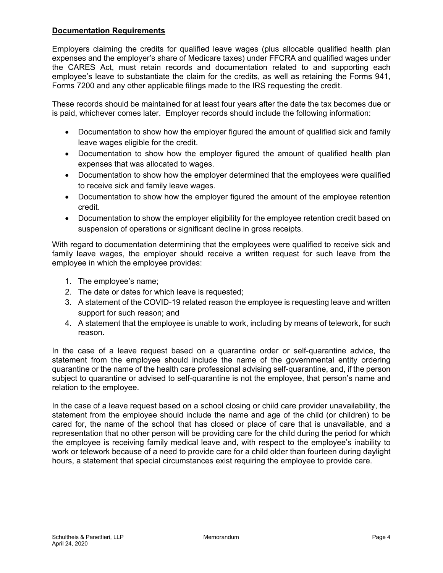#### **Documentation Requirements**

Employers claiming the credits for qualified leave wages (plus allocable qualified health plan expenses and the employer's share of Medicare taxes) under FFCRA and qualified wages under the CARES Act, must retain records and documentation related to and supporting each employee's leave to substantiate the claim for the credits, as well as retaining the Forms 941, Forms 7200 and any other applicable filings made to the IRS requesting the credit.

These records should be maintained for at least four years after the date the tax becomes due or is paid, whichever comes later. Employer records should include the following information:

- Documentation to show how the employer figured the amount of qualified sick and family leave wages eligible for the credit.
- Documentation to show how the employer figured the amount of qualified health plan expenses that was allocated to wages.
- Documentation to show how the employer determined that the employees were qualified to receive sick and family leave wages.
- Documentation to show how the employer figured the amount of the employee retention credit.
- Documentation to show the employer eligibility for the employee retention credit based on suspension of operations or significant decline in gross receipts.

With regard to documentation determining that the employees were qualified to receive sick and family leave wages, the employer should receive a written request for such leave from the employee in which the employee provides:

- 1. The employee's name;
- 2. The date or dates for which leave is requested;
- 3. A statement of the COVID-19 related reason the employee is requesting leave and written support for such reason; and
- 4. A statement that the employee is unable to work, including by means of telework, for such reason.

In the case of a leave request based on a quarantine order or self-quarantine advice, the statement from the employee should include the name of the governmental entity ordering quarantine or the name of the health care professional advising self-quarantine, and, if the person subject to quarantine or advised to self-quarantine is not the employee, that person's name and relation to the employee.

In the case of a leave request based on a school closing or child care provider unavailability, the statement from the employee should include the name and age of the child (or children) to be cared for, the name of the school that has closed or place of care that is unavailable, and a representation that no other person will be providing care for the child during the period for which the employee is receiving family medical leave and, with respect to the employee's inability to work or telework because of a need to provide care for a child older than fourteen during daylight hours, a statement that special circumstances exist requiring the employee to provide care.